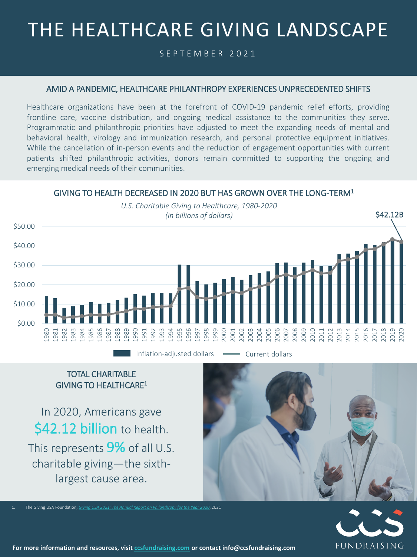# THE HEALTHCARE GIVING LANDSCAPE

SEPTEMBER 2021

#### AMID A PANDEMIC, HEALTHCARE PHILANTHROPY EXPERIENCES UNPRECEDENTED SHIFTS

Healthcare organizations have been at the forefront of COVID-19 pandemic relief efforts, providing frontline care, vaccine distribution, and ongoing medical assistance to the communities they serve. Programmatic and philanthropic priorities have adjusted to meet the expanding needs of mental and behavioral health, virology and immunization research, and personal protective equipment initiatives. While the cancellation of in-person events and the reduction of engagement opportunities with current patients shifted philanthropic activities, donors remain committed to supporting the ongoing and emerging medical needs of their communities.

### GIVING TO HEALTH DECREASED IN 2020 BUT HAS GROWN OVER THE LONG-TERM1



TOTAL CHARITABLE GIVING TO HEALTHCARE1

In 2020, Americans gave \$42.12 billion to health. This represents **9%** of all U.S. charitable giving—the sixthlargest cause area.



1. The Giving USA Foundation, *[Giving USA 2021: The Annual Report on Philanthropy for the Year 2020](https://store.givingusa.org/products/2021-annual-report?variant=39329211613263)*, 2021



1 **For more information and resources, visit [ccsfundraising.com](https://ccsfundraising.com/) or contact info@ccsfundraising.com**